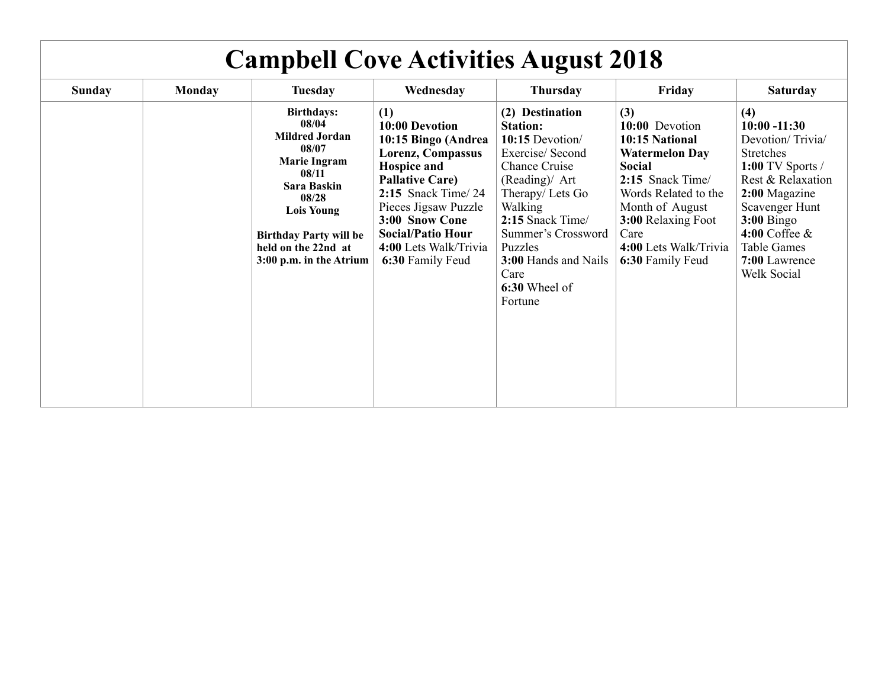| <b>Campbell Cove Activities August 2018</b> |               |                                                                                                                                                                                                                              |                                                                                                                                                                                                                                                              |                                                                                                                                                                                                                                                                          |                                                                                                                                                                                                                             |                                                                                                                                                                                                                                          |
|---------------------------------------------|---------------|------------------------------------------------------------------------------------------------------------------------------------------------------------------------------------------------------------------------------|--------------------------------------------------------------------------------------------------------------------------------------------------------------------------------------------------------------------------------------------------------------|--------------------------------------------------------------------------------------------------------------------------------------------------------------------------------------------------------------------------------------------------------------------------|-----------------------------------------------------------------------------------------------------------------------------------------------------------------------------------------------------------------------------|------------------------------------------------------------------------------------------------------------------------------------------------------------------------------------------------------------------------------------------|
| <b>Sunday</b>                               | <b>Monday</b> | <b>Tuesday</b>                                                                                                                                                                                                               | Wednesday                                                                                                                                                                                                                                                    | <b>Thursday</b>                                                                                                                                                                                                                                                          | Friday                                                                                                                                                                                                                      | <b>Saturday</b>                                                                                                                                                                                                                          |
|                                             |               | <b>Birthdays:</b><br>08/04<br><b>Mildred Jordan</b><br>08/07<br><b>Marie Ingram</b><br>08/11<br>Sara Baskin<br>08/28<br><b>Lois Young</b><br><b>Birthday Party will be</b><br>held on the 22nd at<br>3:00 p.m. in the Atrium | (1)<br>10:00 Devotion<br>10:15 Bingo (Andrea<br>Lorenz, Compassus<br><b>Hospice and</b><br><b>Pallative Care)</b><br>$2:15$ Snack Time/24<br>Pieces Jigsaw Puzzle<br>3:00 Snow Cone<br><b>Social/Patio Hour</b><br>4:00 Lets Walk/Trivia<br>6:30 Family Feud | (2) Destination<br><b>Station:</b><br>10:15 Devotion/<br>Exercise/Second<br><b>Chance Cruise</b><br>(Reading)/ Art<br>Therapy/Lets Go<br>Walking<br>2:15 Snack Time/<br>Summer's Crossword<br>Puzzles<br><b>3:00 Hands and Nails</b><br>Care<br>6:30 Wheel of<br>Fortune | (3)<br>10:00 Devotion<br>10:15 National<br><b>Watermelon Day</b><br><b>Social</b><br>2:15 Snack Time/<br>Words Related to the<br>Month of August<br>3:00 Relaxing Foot<br>Care<br>4:00 Lets Walk/Trivia<br>6:30 Family Feud | (4)<br>$10:00 - 11:30$<br>Devotion/Trivia/<br><b>Stretches</b><br>$1:00$ TV Sports /<br>Rest & Relaxation<br>2:00 Magazine<br>Scavenger Hunt<br>$3:00$ Bingo<br>$4:00$ Coffee $\&$<br><b>Table Games</b><br>7:00 Lawrence<br>Welk Social |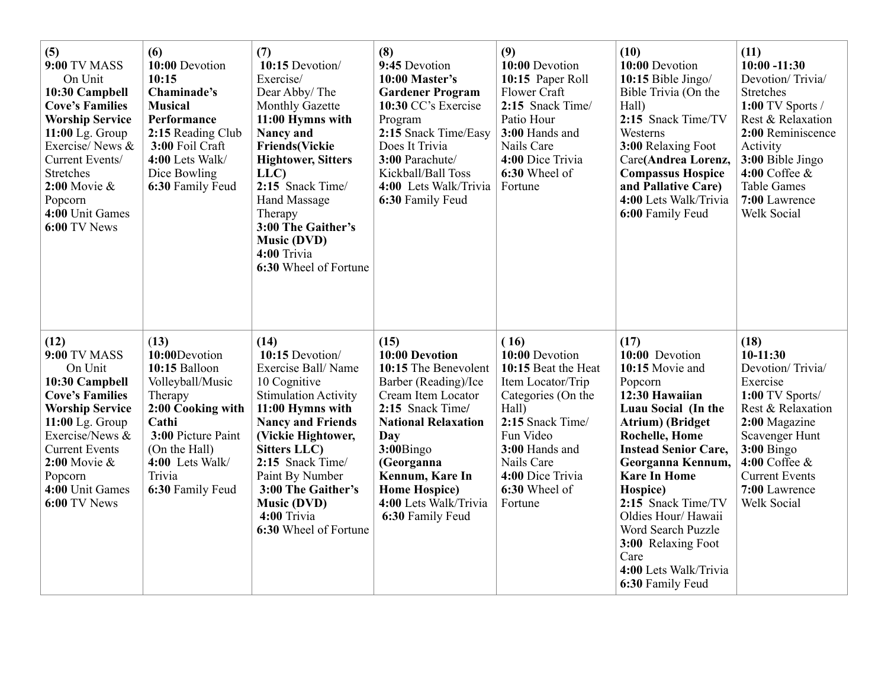| (5)<br><b>9:00 TV MASS</b><br>On Unit<br>10:30 Campbell<br><b>Cove's Families</b><br><b>Worship Service</b><br>$11:00$ Lg. Group<br>Exercise/News &<br>Current Events/<br><b>Stretches</b><br>$2:00$ Movie &<br>Popcorn<br>4:00 Unit Games<br>6:00 TV News | (6)<br>10:00 Devotion<br>10:15<br>Chaminade's<br><b>Musical</b><br>Performance<br>2:15 Reading Club<br>3:00 Foil Craft<br>4:00 Lets Walk/<br>Dice Bowling<br>6:30 Family Feud               | (7)<br>10:15 Devotion/<br>Exercise/<br>Dear Abby/The<br>Monthly Gazette<br>11:00 Hymns with<br><b>Nancy and</b><br><b>Friends(Vickie</b><br><b>Hightower, Sitters</b><br>LLC)<br>2:15 Snack Time/<br>Hand Massage<br>Therapy<br>3:00 The Gaither's<br><b>Music (DVD)</b><br>4:00 Trivia<br>6:30 Wheel of Fortune      | (8)<br>9:45 Devotion<br>10:00 Master's<br><b>Gardener Program</b><br>10:30 CC's Exercise<br>Program<br>2:15 Snack Time/Easy<br>Does It Trivia<br>3:00 Parachute/<br>Kickball/Ball Toss<br>4:00 Lets Walk/Trivia<br>6:30 Family Feud                                       | (9)<br>10:00 Devotion<br>10:15 Paper Roll<br>Flower Craft<br>2:15 Snack Time/<br>Patio Hour<br>3:00 Hands and<br>Nails Care<br>4:00 Dice Trivia<br>6:30 Wheel of<br>Fortune                                        | (10)<br>10:00 Devotion<br>10:15 Bible Jingo/<br>Bible Trivia (On the<br>Hall)<br>2:15 Snack Time/TV<br>Westerns<br>3:00 Relaxing Foot<br>Care(Andrea Lorenz,<br><b>Compassus Hospice</b><br>and Pallative Care)<br>4:00 Lets Walk/Trivia<br>6:00 Family Feud                                                                                                                            | (11)<br>$10:00 - 11:30$<br>Devotion/Trivia/<br>Stretches<br>1:00 TV Sports /<br>Rest & Relaxation<br>2:00 Reminiscence<br>Activity<br>3:00 Bible Jingo<br>$4:00$ Coffee $\&$<br><b>Table Games</b><br>7:00 Lawrence<br>Welk Social |
|------------------------------------------------------------------------------------------------------------------------------------------------------------------------------------------------------------------------------------------------------------|---------------------------------------------------------------------------------------------------------------------------------------------------------------------------------------------|-----------------------------------------------------------------------------------------------------------------------------------------------------------------------------------------------------------------------------------------------------------------------------------------------------------------------|---------------------------------------------------------------------------------------------------------------------------------------------------------------------------------------------------------------------------------------------------------------------------|--------------------------------------------------------------------------------------------------------------------------------------------------------------------------------------------------------------------|-----------------------------------------------------------------------------------------------------------------------------------------------------------------------------------------------------------------------------------------------------------------------------------------------------------------------------------------------------------------------------------------|------------------------------------------------------------------------------------------------------------------------------------------------------------------------------------------------------------------------------------|
| (12)<br><b>9:00 TV MASS</b><br>On Unit<br>10:30 Campbell<br><b>Cove's Families</b><br><b>Worship Service</b><br>$11:00$ Lg. Group<br>Exercise/News &<br><b>Current Events</b><br>$2:00$ Movie $\&$<br>Popcorn<br>4:00 Unit Games<br>6:00 TV News           | (13)<br>10:00Devotion<br>10:15 Balloon<br>Volleyball/Music<br>Therapy<br>2:00 Cooking with<br>Cathi<br>3:00 Picture Paint<br>(On the Hall)<br>4:00 Lets Walk/<br>Trivia<br>6:30 Family Feud | (14)<br>10:15 Devotion/<br>Exercise Ball/Name<br>10 Cognitive<br><b>Stimulation Activity</b><br>11:00 Hymns with<br><b>Nancy and Friends</b><br>(Vickie Hightower,<br><b>Sitters LLC</b> )<br>2:15 Snack Time/<br>Paint By Number<br>3:00 The Gaither's<br><b>Music (DVD)</b><br>4:00 Trivia<br>6:30 Wheel of Fortune | (15)<br>10:00 Devotion<br>10:15 The Benevolent<br>Barber (Reading)/Ice<br>Cream Item Locator<br>2:15 Snack Time/<br><b>National Relaxation</b><br>Day<br>3:00Bingo<br>(Georganna<br>Kennum, Kare In<br><b>Home Hospice</b> )<br>4:00 Lets Walk/Trivia<br>6:30 Family Feud | (16)<br>10:00 Devotion<br>10:15 Beat the Heat<br>Item Locator/Trip<br>Categories (On the<br>Hall)<br>2:15 Snack Time/<br>Fun Video<br>3:00 Hands and<br>Nails Care<br>4:00 Dice Trivia<br>6:30 Wheel of<br>Fortune | (17)<br>10:00 Devotion<br>10:15 Movie and<br>Popcorn<br>12:30 Hawaiian<br>Luau Social (In the<br><b>Atrium</b> ) (Bridget<br><b>Rochelle, Home</b><br><b>Instead Senior Care,</b><br>Georganna Kennum,<br><b>Kare In Home</b><br>Hospice)<br>2:15 Snack Time/TV<br>Oldies Hour/ Hawaii<br>Word Search Puzzle<br>3:00 Relaxing Foot<br>Care<br>4:00 Lets Walk/Trivia<br>6:30 Family Feud | (18)<br>$10-11:30$<br>Devotion/Trivia/<br>Exercise<br>1:00 TV Sports/<br>Rest & Relaxation<br>2:00 Magazine<br>Scavenger Hunt<br>$3:00$ Bingo<br>$4:00$ Coffee $\&$<br><b>Current Events</b><br>7:00 Lawrence<br>Welk Social       |